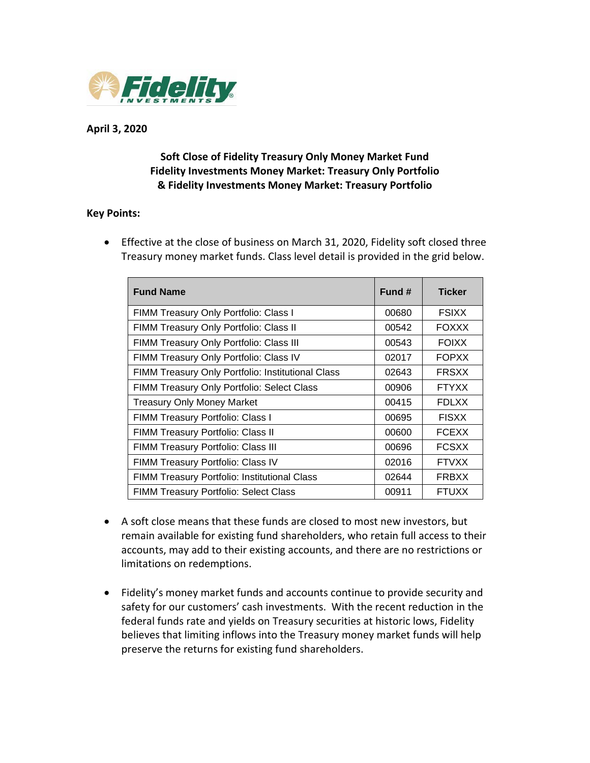

#### **April 3, 2020**

# **Soft Close of Fidelity Treasury Only Money Market Fund Fidelity Investments Money Market: Treasury Only Portfolio & Fidelity Investments Money Market: Treasury Portfolio**

#### **Key Points:**

• Effective at the close of business on March 31, 2020, Fidelity soft closed three Treasury money market funds. Class level detail is provided in the grid below.

| <b>Fund Name</b>                                  | Fund # | Ticker       |
|---------------------------------------------------|--------|--------------|
| FIMM Treasury Only Portfolio: Class I             | 00680  | <b>FSIXX</b> |
| FIMM Treasury Only Portfolio: Class II            | 00542  | <b>FOXXX</b> |
| FIMM Treasury Only Portfolio: Class III           | 00543  | <b>FOIXX</b> |
| FIMM Treasury Only Portfolio: Class IV            | 02017  | <b>FOPXX</b> |
| FIMM Treasury Only Portfolio: Institutional Class | 02643  | <b>FRSXX</b> |
| FIMM Treasury Only Portfolio: Select Class        | 00906  | <b>FTYXX</b> |
| <b>Treasury Only Money Market</b>                 | 00415  | <b>FDLXX</b> |
| FIMM Treasury Portfolio: Class I                  | 00695  | <b>FISXX</b> |
| FIMM Treasury Portfolio: Class II                 | 00600  | <b>FCEXX</b> |
| <b>FIMM Treasury Portfolio: Class III</b>         | 00696  | <b>FCSXX</b> |
| FIMM Treasury Portfolio: Class IV                 | 02016  | <b>FTVXX</b> |
| FIMM Treasury Portfolio: Institutional Class      | 02644  | <b>FRBXX</b> |
| FIMM Treasury Portfolio: Select Class             | 00911  | <b>FTUXX</b> |

- A soft close means that these funds are closed to most new investors, but remain available for existing fund shareholders, who retain full access to their accounts, may add to their existing accounts, and there are no restrictions or limitations on redemptions.
- Fidelity's money market funds and accounts continue to provide security and safety for our customers' cash investments. With the recent reduction in the federal funds rate and yields on Treasury securities at historic lows, Fidelity believes that limiting inflows into the Treasury money market funds will help preserve the returns for existing fund shareholders.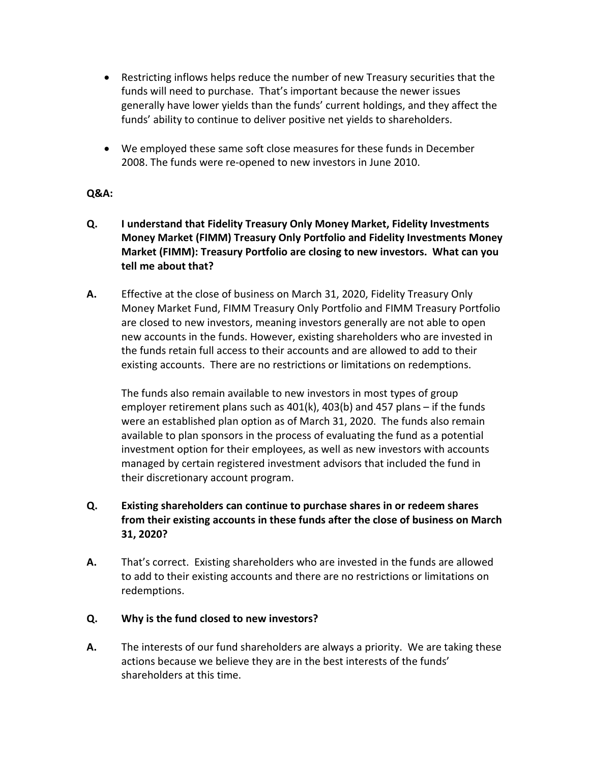- Restricting inflows helps reduce the number of new Treasury securities that the funds will need to purchase. That's important because the newer issues generally have lower yields than the funds' current holdings, and they affect the funds' ability to continue to deliver positive net yields to shareholders.
- We employed these same soft close measures for these funds in December 2008. The funds were re-opened to new investors in June 2010.

### **Q&A:**

- **Q. I understand that Fidelity Treasury Only Money Market, Fidelity Investments Money Market (FIMM) Treasury Only Portfolio and Fidelity Investments Money Market (FIMM): Treasury Portfolio are closing to new investors. What can you tell me about that?**
- **A.** Effective at the close of business on March 31, 2020, Fidelity Treasury Only Money Market Fund, FIMM Treasury Only Portfolio and FIMM Treasury Portfolio are closed to new investors, meaning investors generally are not able to open new accounts in the funds. However, existing shareholders who are invested in the funds retain full access to their accounts and are allowed to add to their existing accounts. There are no restrictions or limitations on redemptions.

The funds also remain available to new investors in most types of group employer retirement plans such as 401(k), 403(b) and 457 plans – if the funds were an established plan option as of March 31, 2020. The funds also remain available to plan sponsors in the process of evaluating the fund as a potential investment option for their employees, as well as new investors with accounts managed by certain registered investment advisors that included the fund in their discretionary account program.

# **Q. Existing shareholders can continue to purchase shares in or redeem shares from their existing accounts in these funds after the close of business on March 31, 2020?**

**A.** That's correct. Existing shareholders who are invested in the funds are allowed to add to their existing accounts and there are no restrictions or limitations on redemptions.

# **Q. Why is the fund closed to new investors?**

**A.** The interests of our fund shareholders are always a priority. We are taking these actions because we believe they are in the best interests of the funds' shareholders at this time.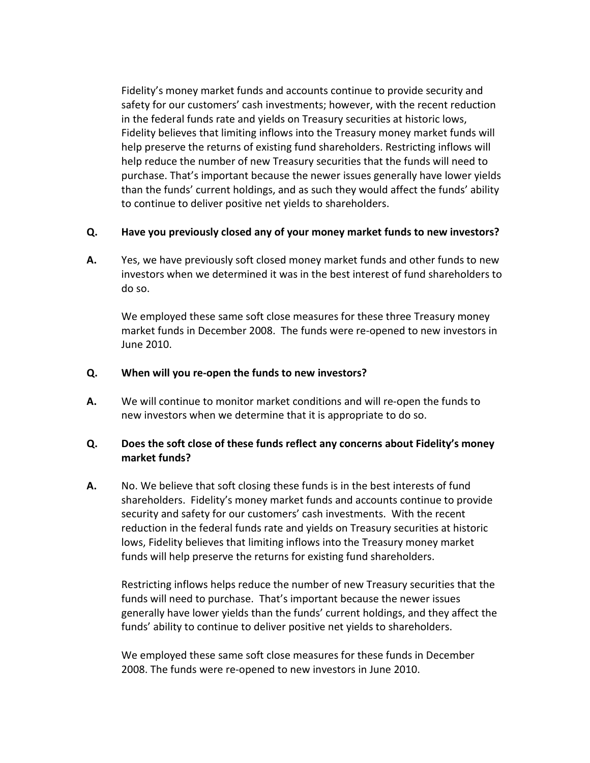Fidelity's money market funds and accounts continue to provide security and safety for our customers' cash investments; however, with the recent reduction in the federal funds rate and yields on Treasury securities at historic lows, Fidelity believes that limiting inflows into the Treasury money market funds will help preserve the returns of existing fund shareholders. Restricting inflows will help reduce the number of new Treasury securities that the funds will need to purchase. That's important because the newer issues generally have lower yields than the funds' current holdings, and as such they would affect the funds' ability to continue to deliver positive net yields to shareholders.

#### **Q. Have you previously closed any of your money market funds to new investors?**

**A.** Yes, we have previously soft closed money market funds and other funds to new investors when we determined it was in the best interest of fund shareholders to do so.

We employed these same soft close measures for these three Treasury money market funds in December 2008. The funds were re-opened to new investors in June 2010.

### **Q. When will you re-open the funds to new investors?**

**A.** We will continue to monitor market conditions and will re-open the funds to new investors when we determine that it is appropriate to do so.

# **Q. Does the soft close of these funds reflect any concerns about Fidelity's money market funds?**

**A.** No. We believe that soft closing these funds is in the best interests of fund shareholders. Fidelity's money market funds and accounts continue to provide security and safety for our customers' cash investments. With the recent reduction in the federal funds rate and yields on Treasury securities at historic lows, Fidelity believes that limiting inflows into the Treasury money market funds will help preserve the returns for existing fund shareholders.

Restricting inflows helps reduce the number of new Treasury securities that the funds will need to purchase. That's important because the newer issues generally have lower yields than the funds' current holdings, and they affect the funds' ability to continue to deliver positive net yields to shareholders.

We employed these same soft close measures for these funds in December 2008. The funds were re-opened to new investors in June 2010.